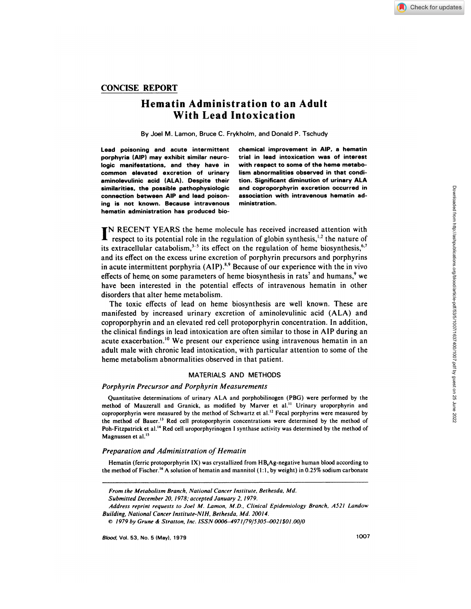# CONCISE **REPORT**

# **Hematin Administration to an Adult With Lead Intoxication**

**By** Joel M. Lamon, Bruce C. Frykholm, and Donald P. Tschudy

**porphyria (AlP) may exhibit similar neuro- trial in lead intoxication was of interest logic manifestations, and they have in with respect to some of the heme metabo common elevated excretion of urinary lism abnormalities observed in that condiaminolevulinic acid (ALA). Despite their tion. Significant diminution of urinary ALA similarities. the possible pathophysiologic and coproporphyrin excretion occurred in connection between AlP and lead poison- association with intravenous hematin ading is not known. Because intravenous ministration. hematin administration has produced bio-**

**Lead poisoning and acute intermittent chemical improvement in AlP. a hematin**

**IN RECENT YEARS** the heme molecule has received increased attention with respect to its potential role in the regulation of globin synthesis," the nature of its extracellular catabolism,<sup>3-5</sup> its effect on the regulation of heme biosynthesis,<sup>6,7</sup> and its effect on the excess urine excretion of porphyrin precursors and porphyrins in acute intermittent porphyria (AIP).<sup>8,9</sup> Because of our experience with the in vivo effects of heme on some parameters of heme biosynthesis in rats<sup>7</sup> and humans, $9$  we have been interested in the potential effects of intravenous hematin in other disorders that alter heme metabolism.

The toxic effects of lead on heme biosynthesis are well known. These are manifested by increased urinary excretion of aminolevulinic acid (ALA) and coproporphyrin and an elevated red cell protoporphyrin concentration. In addition, the clinical findings in lead intoxication are often similar to those in ALP during an acute exacerbation.'0 We present our experience using intravenous hematin in an adult male with chronic lead intoxication, with particular attention to some of the heme metabolism abnormalities observed in that patient.

#### MATERIALS AND METHODS

## *Porphyrin Precursor and Porphyrin Measurements*

Quantitative determinations of urinary ALA and porphobilinogen (PBG) were performed by the method of Mauzerall and Granick, as modified by Marver et al.<sup>11</sup> Urinary uroporphyrin and coproporphyrin were measured by the method of Schwartz et al.'2 Fecal porphyrins were measured by the method of Bauer.<sup>13</sup> Red cell protoporphyrin concentrations were determined by the method of Poh-Fitzpatrick et al.<sup>14</sup> Red cell uroporphyrinogen I synthase activity was determined by the method of Magnussen et al.<sup>15</sup>

## *Preparation and Administration of Hematin*

Hematin (ferric protoporphyrin **IX) was crystallized from HB,Ag-negative** human blood according to the method of Fischer.'6 A solution of hematin and mannitol (1 :1 **,** by weight) in 0.25% sodium carbonate

*From the Metabolism Branch, National Cancer Institute. Bethesda, Md.*

*Submitted December 20, 1978; accepted January 2, 1979.*

*Address reprint requests to Joel M. Lamon, M.D., Clinical Epidemiology Branch, A521 Landow Building, National* Cancer *Institute-NIH. Bethesda, Md. 200/4.*

<sup>©</sup> *1979 by Grune ct Stratton, Inc. ISSN 0006-4971/79/5305-0021\$0l.00/0*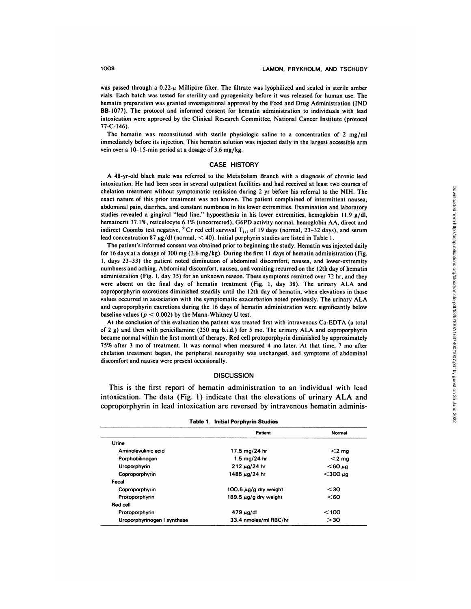was passed through a  $0.22$ - $\mu$  Millipore filter. The filtrate was lyophilized and sealed in sterile amber vials. Each batch was tested for sterility and pyrogenicity before it was released for human use. The hematin preparation was granted investigational approval by the Food and Drug Administration (IND BB-l077). The protocol and informed consent for hematin administration to individuals with lead **intoxication were approved by the Clinical Research Committee, National Cancer Institute** (protocol  $77 - C - 146$ 

The hematin was reconstituted with sterile physiologic saline to a concentration of 2 mg/ml immediately before its injection. This hematin solution was injected daily in the largest accessible arm vein over a  $10-15$ -min period at a dosage of 3.6 mg/kg.

#### CASE HISTORY

**A 48-yr-old black male was referred to the Metabolism Branch with a** diagnosis of chronic lead intoxication. He had been seen in several outpatient facilities and had received at least two courses of chelation treatment without symptomatic remission during 2 yr before his referral to the NIH. The exact nature of this prior treatment was not known. The patient complained of intermittent nausea, abdominal pain, diarrhea, and constant numbness in his lower extremities. Examination and laboratory studies revealed a gingival "lead line," hypoesthesia in his lower extremities, hemoglobin 11.9 g/dl, hematocrit 37.1%, reticulocyte 6.1% (uncorrected), G6PD activity normal, hemoglobin AA, direct and indirect Coombs test negative, <sup>51</sup>Cr red cell survival  $T_{1/2}$  of 19 days (normal, 23-32 days), and serum lead concentration 87  $\mu$ g/dl (normal, < 40). Initial porphyrin studies are listed in Table 1.

The patient's informed consent was obtained prior to beginning the study. Hematin was injected daily for 16 days at a dosage of 300 mg  $(3.6 \text{ mg/kg})$ . During the first 11 days of hematin administration (Fig. 1, days 23-33) the patient noted diminution of abdominal discomfort, nausea, and lower-extremity numbness and aching. Abdominal discomfort, nausea, and vomiting recurred on the 12th day of hematin administration (Fig. 1, day 35) for an unknown reason. These symptoms remitted over 72 hr, and they were absent on the final day of hematin treatment (Fig. 1, day 38). The urinary **ALA and** coproporphyrin excretions diminished steadily until the I 2th day of hematin, when elevations in those values occurred in association with the symptomatic exacerbation noted previously. The urinary ALA and coproporphyrin excretions during the 16 days of hematin administration were significantly below baseline values ( $p < 0.002$ ) by the Mann-Whitney U test.

**At** the conclusion of this evaluation the patient was treated first with intravenous Ca-EDTA (a total of 2 g) and then with penicillamine (250 mg bid.) for 5 mo. The urinary ALA and coproporphyrin became normal within the first month of therapy. Red cell protoporphyrin diminished by approximately 75% after 3 mo of treatment. It was normal when measured 4 mo later. At that time, 7 mo after chelation treatment began, the peripheral neuropathy was unchanged, and symptoms of abdominal discomfort and nausea were present occasionally.

# **DISCUSSION**

This is the first report of hematin administration to an individual with lead intoxication. The data (Fig. 1) indicate that the elevations of urinary ALA and coproporphyrin in lead intoxication are reversed by intravenous hematin adminis-

|  |  | Table 1. Initial Porphyrin Studies |
|--|--|------------------------------------|
|--|--|------------------------------------|

|                             | Patient                    | Normal          |
|-----------------------------|----------------------------|-----------------|
| Urine                       |                            |                 |
| Aminolevulinic acid         | 17.5 mg/24 hr              | $<$ 2 mg        |
| Porphobilinogen             | 1.5 mg/24 hr               | $<$ 2 mg        |
| Uroporphyrin                | $212 \mu q/24$ hr          | $<$ 60 µg       |
| Coproporphyrin              | 1485 μg/24 hr              | $<$ 300 $\mu$ g |
| Fecal                       |                            |                 |
| Coproporphyrin              | 100.5 $\mu$ g/g dry weight | $30$            |
| Protoporphyrin              | 189.5 $\mu$ g/g dry weight | $60$            |
| Red cell                    |                            |                 |
| Protoporphyrin              | $479 \mu$ g/dl             | $100$           |
| Uroporphyrinogen I synthase | 33.4 nmoles/ml RBC/hr      | >30             |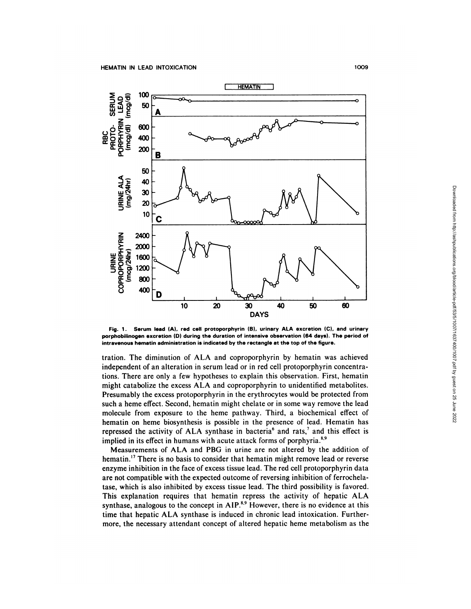

**Fig. 1 . Serum lead (A). red cellprotoporphyrin (B). urinary ALA excretion (C). and urinary** porphobilinogen excretion (D) during the duration of **intensive observation (64 days). The period of intravenous hematin administration is indicated by the rectangle at the top of the figure.**

tration. The diminution of ALA and coproporphyrin by hematin was achieved independent of an alteration in serum lead or in red cell protoporphyrin concentrations. There are only a few hypotheses to explain this observation. First, hematin might catabolize the excess ALA and coproporphyrin to unidentified metabolites. Presumably the excess protoporphyrin in the erythrocytes would be protected from such a heme effect. Second, hematin might chelate or in some way remove the lead molecule from exposure to the heme pathway. Third, a biochemical effect of hematin on heme biosynthesis is possible in the presence of lead. Hematin has repressed the activity of ALA synthase in bacteria<sup>6</sup> and rats,<sup>7</sup> and this effect is implied in its effect in humans with acute attack forms of porphyria.<sup>8,9</sup>

Measurements of ALA and PBG in urine are not altered by the addition of hematin.<sup>17</sup> There is no basis to consider that hematin might remove lead or reverse enzyme inhibition in the face of excess tissue lead. The red cell protoporphyrin data are not compatible with the expected outcome of reversing inhibition of ferrochelatase, which is also inhibited by excess tissue lead. The third possibility is favored. This explanation requires that hematin repress the activity of hepatic ALA synthase, analogous to the concept in  $AIP<sup>8.9</sup>$  However, there is no evidence at this time that hepatic ALA synthase is induced in chronic lead intoxication. Furthermore, the necessary attendant concept of altered hepatic heme metabolism as the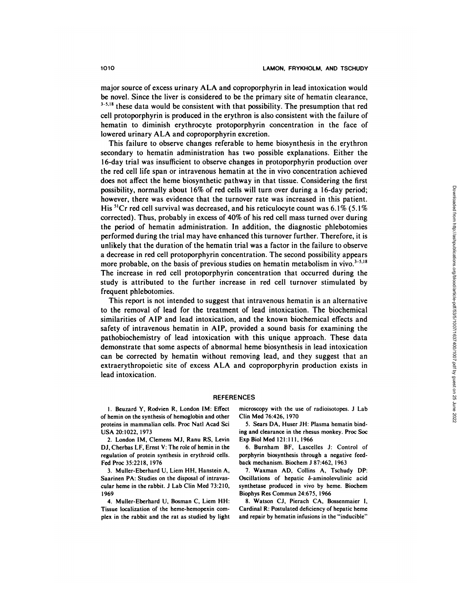major source of excess urinary ALA and coproporphyrin in lead intoxication would be novel. Since the liver is considered to be the primary site of hematin clearance,  $3-5.18$  these data would be consistent with that possibility. The presumption that red cell protoporphyrin is produced in the erythron is also consistent with the failure of hematin to diminish erythrocyte protoporphyrin concentration in the face of lowered urinary ALA and coproporphyrin excretion.

This failure to observe changes referable to heme biosynthesis in the erythron secondary to hematin administration has two possible explanations. Either the 16-day trial was insufficient to observe changes in protoporphyrin production over the red cell life span or intravenous hematin at the in vivo concentration achieved does not affect the heme biosynthetic pathway in that tissue. Considering the first possibility, normally about 16% of red cells will turn over during a 16-day period; however, there was evidence that the turnover rate was increased in this patient. His 5'Cr red cell survival was decreased, and his reticulocyte count was 6.1% *(5.1%* corrected). Thus, probably in excess of 40% of his red cell mass turned over during the period of hematin administration. In addition, the diagnostic phlebotomies performed during the trial may have enhanced this turnover further. Therefore, it is unlikely that the duration of the hematin trial was a factor in the failure to observe a decrease in red cell protoporphyrin concentration. The second possibility appears more probable, on the basis of previous studies on hematin metabolism in vivo. $3-5.18$ The increase in red cell protoporphyrin concentration that occurred during the study is attributed to the further increase in red cell turnover stimulated by frequent phlebotomies.

This report is not intended to suggest that intravenous hematin is an alternative to the removal of lead for the treatment of lead intoxication. The biochemical similarities of AlP and lead intoxication, and the known biochemical effects and safety of intravenous hematin in AlP, provided a sound basis for examining the pathobiochemistry of lead intoxication with this unique approach. These data demonstrate that some aspects of abnormal heme biosynthesis in lead intoxication can be corrected by hematin without removing lead, and they suggest that an extraerythropoietic site of excess ALA and coproporphyrin production exists in lead intoxication.

#### REFERENCES

I **.** Beuzard **Y, Rodvien R,London IM: Effect** of hemin on the synthesis of hemoglobin and other proteins in mammalian cells. Proc NatI Acad Sci **USA 20:1022, 1973**

2. London IM, Clemens Mi, Ranu **RS, Levin Di,** Cherbas LF, Ernst V: The role of hemin in the regulation of protein synthesis in erythroid cells. **Fed Proc 35:2218, 1976**

3. Muller-Eberhard U, Liem HH, Hanstein A, Saarinen PA: Studies on the disposal of intravascular heme in the rabbit. J Lab Clin Med 73:210, 1969

4. Muller-Eberhard U, Bosman C, Liem HH: Tissue localization of the heme-hemopexin com **plex in the rabbit and the rat as studied by light** microscopy with the use of radioisotopes. J Lab Clin Med 76:426, 1970

5. Sears DA, Huser JH: Plasma hematin binding and clearance in the rhesus monkey. Proc Soc **Exp BiolMed 121:1 1 1, 1966**

**6. Burnham BF, Lascelles J: Control of** porphyrin biosynthesis through a negative feedback mechanism. Biochem J 87:462, 1963

7. Waxman AD, Collins A, Tschudy DP: Oscillations of hepatic  $\delta$ -aminolevulinic acid synthetase produced in vivo by heme. Biochem Biophys Res Commun 24:675, 1966

8. Watson **Ci, Pierach CA, Bossenmaier I,** Cardinal R: Postulated deficiency of hepatic heme and repair by hematin infusions in the "inducible"